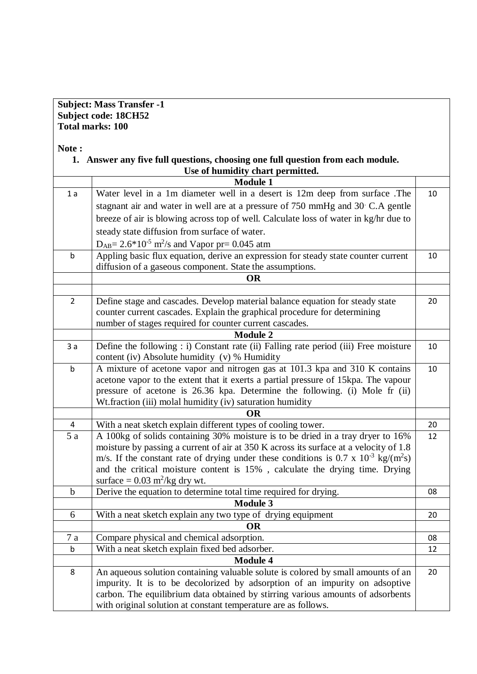## **Subject: Mass Transfer -1 Subject code: 18CH52 Total marks: 100**

## **Note :**

| 1. Answer any five full questions, choosing one full question from each module.      |                                                                                                                                                                                                                                                                                                                                                                                                                                                                                                                                                                                                                                                                                                                                                                                                                                                                                                                                                                                                                                                                                                                                                                                                                                                                                                                                                                                                                                                                                                                                                                                                                                                                                                                                                                                                                                                                                                                                                                      |  |  |  |  |  |  |  |  |  |
|--------------------------------------------------------------------------------------|----------------------------------------------------------------------------------------------------------------------------------------------------------------------------------------------------------------------------------------------------------------------------------------------------------------------------------------------------------------------------------------------------------------------------------------------------------------------------------------------------------------------------------------------------------------------------------------------------------------------------------------------------------------------------------------------------------------------------------------------------------------------------------------------------------------------------------------------------------------------------------------------------------------------------------------------------------------------------------------------------------------------------------------------------------------------------------------------------------------------------------------------------------------------------------------------------------------------------------------------------------------------------------------------------------------------------------------------------------------------------------------------------------------------------------------------------------------------------------------------------------------------------------------------------------------------------------------------------------------------------------------------------------------------------------------------------------------------------------------------------------------------------------------------------------------------------------------------------------------------------------------------------------------------------------------------------------------------|--|--|--|--|--|--|--|--|--|
| Use of humidity chart permitted.                                                     |                                                                                                                                                                                                                                                                                                                                                                                                                                                                                                                                                                                                                                                                                                                                                                                                                                                                                                                                                                                                                                                                                                                                                                                                                                                                                                                                                                                                                                                                                                                                                                                                                                                                                                                                                                                                                                                                                                                                                                      |  |  |  |  |  |  |  |  |  |
| <b>Module 1</b>                                                                      |                                                                                                                                                                                                                                                                                                                                                                                                                                                                                                                                                                                                                                                                                                                                                                                                                                                                                                                                                                                                                                                                                                                                                                                                                                                                                                                                                                                                                                                                                                                                                                                                                                                                                                                                                                                                                                                                                                                                                                      |  |  |  |  |  |  |  |  |  |
| Water level in a 1m diameter well in a desert is 12m deep from surface. The          | 10                                                                                                                                                                                                                                                                                                                                                                                                                                                                                                                                                                                                                                                                                                                                                                                                                                                                                                                                                                                                                                                                                                                                                                                                                                                                                                                                                                                                                                                                                                                                                                                                                                                                                                                                                                                                                                                                                                                                                                   |  |  |  |  |  |  |  |  |  |
| stagnant air and water in well are at a pressure of 750 mmHg and 30 C.A gentle       |                                                                                                                                                                                                                                                                                                                                                                                                                                                                                                                                                                                                                                                                                                                                                                                                                                                                                                                                                                                                                                                                                                                                                                                                                                                                                                                                                                                                                                                                                                                                                                                                                                                                                                                                                                                                                                                                                                                                                                      |  |  |  |  |  |  |  |  |  |
| breeze of air is blowing across top of well. Calculate loss of water in kg/hr due to |                                                                                                                                                                                                                                                                                                                                                                                                                                                                                                                                                                                                                                                                                                                                                                                                                                                                                                                                                                                                                                                                                                                                                                                                                                                                                                                                                                                                                                                                                                                                                                                                                                                                                                                                                                                                                                                                                                                                                                      |  |  |  |  |  |  |  |  |  |
| steady state diffusion from surface of water.                                        |                                                                                                                                                                                                                                                                                                                                                                                                                                                                                                                                                                                                                                                                                                                                                                                                                                                                                                                                                                                                                                                                                                                                                                                                                                                                                                                                                                                                                                                                                                                                                                                                                                                                                                                                                                                                                                                                                                                                                                      |  |  |  |  |  |  |  |  |  |
| $D_{AB} = 2.6*10-5 m2/s$ and Vapor pr= 0.045 atm                                     |                                                                                                                                                                                                                                                                                                                                                                                                                                                                                                                                                                                                                                                                                                                                                                                                                                                                                                                                                                                                                                                                                                                                                                                                                                                                                                                                                                                                                                                                                                                                                                                                                                                                                                                                                                                                                                                                                                                                                                      |  |  |  |  |  |  |  |  |  |
|                                                                                      |                                                                                                                                                                                                                                                                                                                                                                                                                                                                                                                                                                                                                                                                                                                                                                                                                                                                                                                                                                                                                                                                                                                                                                                                                                                                                                                                                                                                                                                                                                                                                                                                                                                                                                                                                                                                                                                                                                                                                                      |  |  |  |  |  |  |  |  |  |
|                                                                                      |                                                                                                                                                                                                                                                                                                                                                                                                                                                                                                                                                                                                                                                                                                                                                                                                                                                                                                                                                                                                                                                                                                                                                                                                                                                                                                                                                                                                                                                                                                                                                                                                                                                                                                                                                                                                                                                                                                                                                                      |  |  |  |  |  |  |  |  |  |
| <b>OR</b>                                                                            |                                                                                                                                                                                                                                                                                                                                                                                                                                                                                                                                                                                                                                                                                                                                                                                                                                                                                                                                                                                                                                                                                                                                                                                                                                                                                                                                                                                                                                                                                                                                                                                                                                                                                                                                                                                                                                                                                                                                                                      |  |  |  |  |  |  |  |  |  |
|                                                                                      |                                                                                                                                                                                                                                                                                                                                                                                                                                                                                                                                                                                                                                                                                                                                                                                                                                                                                                                                                                                                                                                                                                                                                                                                                                                                                                                                                                                                                                                                                                                                                                                                                                                                                                                                                                                                                                                                                                                                                                      |  |  |  |  |  |  |  |  |  |
|                                                                                      | 20                                                                                                                                                                                                                                                                                                                                                                                                                                                                                                                                                                                                                                                                                                                                                                                                                                                                                                                                                                                                                                                                                                                                                                                                                                                                                                                                                                                                                                                                                                                                                                                                                                                                                                                                                                                                                                                                                                                                                                   |  |  |  |  |  |  |  |  |  |
|                                                                                      |                                                                                                                                                                                                                                                                                                                                                                                                                                                                                                                                                                                                                                                                                                                                                                                                                                                                                                                                                                                                                                                                                                                                                                                                                                                                                                                                                                                                                                                                                                                                                                                                                                                                                                                                                                                                                                                                                                                                                                      |  |  |  |  |  |  |  |  |  |
|                                                                                      |                                                                                                                                                                                                                                                                                                                                                                                                                                                                                                                                                                                                                                                                                                                                                                                                                                                                                                                                                                                                                                                                                                                                                                                                                                                                                                                                                                                                                                                                                                                                                                                                                                                                                                                                                                                                                                                                                                                                                                      |  |  |  |  |  |  |  |  |  |
|                                                                                      |                                                                                                                                                                                                                                                                                                                                                                                                                                                                                                                                                                                                                                                                                                                                                                                                                                                                                                                                                                                                                                                                                                                                                                                                                                                                                                                                                                                                                                                                                                                                                                                                                                                                                                                                                                                                                                                                                                                                                                      |  |  |  |  |  |  |  |  |  |
|                                                                                      | 10                                                                                                                                                                                                                                                                                                                                                                                                                                                                                                                                                                                                                                                                                                                                                                                                                                                                                                                                                                                                                                                                                                                                                                                                                                                                                                                                                                                                                                                                                                                                                                                                                                                                                                                                                                                                                                                                                                                                                                   |  |  |  |  |  |  |  |  |  |
|                                                                                      |                                                                                                                                                                                                                                                                                                                                                                                                                                                                                                                                                                                                                                                                                                                                                                                                                                                                                                                                                                                                                                                                                                                                                                                                                                                                                                                                                                                                                                                                                                                                                                                                                                                                                                                                                                                                                                                                                                                                                                      |  |  |  |  |  |  |  |  |  |
|                                                                                      | 10                                                                                                                                                                                                                                                                                                                                                                                                                                                                                                                                                                                                                                                                                                                                                                                                                                                                                                                                                                                                                                                                                                                                                                                                                                                                                                                                                                                                                                                                                                                                                                                                                                                                                                                                                                                                                                                                                                                                                                   |  |  |  |  |  |  |  |  |  |
|                                                                                      |                                                                                                                                                                                                                                                                                                                                                                                                                                                                                                                                                                                                                                                                                                                                                                                                                                                                                                                                                                                                                                                                                                                                                                                                                                                                                                                                                                                                                                                                                                                                                                                                                                                                                                                                                                                                                                                                                                                                                                      |  |  |  |  |  |  |  |  |  |
|                                                                                      |                                                                                                                                                                                                                                                                                                                                                                                                                                                                                                                                                                                                                                                                                                                                                                                                                                                                                                                                                                                                                                                                                                                                                                                                                                                                                                                                                                                                                                                                                                                                                                                                                                                                                                                                                                                                                                                                                                                                                                      |  |  |  |  |  |  |  |  |  |
|                                                                                      |                                                                                                                                                                                                                                                                                                                                                                                                                                                                                                                                                                                                                                                                                                                                                                                                                                                                                                                                                                                                                                                                                                                                                                                                                                                                                                                                                                                                                                                                                                                                                                                                                                                                                                                                                                                                                                                                                                                                                                      |  |  |  |  |  |  |  |  |  |
|                                                                                      |                                                                                                                                                                                                                                                                                                                                                                                                                                                                                                                                                                                                                                                                                                                                                                                                                                                                                                                                                                                                                                                                                                                                                                                                                                                                                                                                                                                                                                                                                                                                                                                                                                                                                                                                                                                                                                                                                                                                                                      |  |  |  |  |  |  |  |  |  |
|                                                                                      | 20                                                                                                                                                                                                                                                                                                                                                                                                                                                                                                                                                                                                                                                                                                                                                                                                                                                                                                                                                                                                                                                                                                                                                                                                                                                                                                                                                                                                                                                                                                                                                                                                                                                                                                                                                                                                                                                                                                                                                                   |  |  |  |  |  |  |  |  |  |
|                                                                                      | 12                                                                                                                                                                                                                                                                                                                                                                                                                                                                                                                                                                                                                                                                                                                                                                                                                                                                                                                                                                                                                                                                                                                                                                                                                                                                                                                                                                                                                                                                                                                                                                                                                                                                                                                                                                                                                                                                                                                                                                   |  |  |  |  |  |  |  |  |  |
|                                                                                      |                                                                                                                                                                                                                                                                                                                                                                                                                                                                                                                                                                                                                                                                                                                                                                                                                                                                                                                                                                                                                                                                                                                                                                                                                                                                                                                                                                                                                                                                                                                                                                                                                                                                                                                                                                                                                                                                                                                                                                      |  |  |  |  |  |  |  |  |  |
|                                                                                      |                                                                                                                                                                                                                                                                                                                                                                                                                                                                                                                                                                                                                                                                                                                                                                                                                                                                                                                                                                                                                                                                                                                                                                                                                                                                                                                                                                                                                                                                                                                                                                                                                                                                                                                                                                                                                                                                                                                                                                      |  |  |  |  |  |  |  |  |  |
|                                                                                      |                                                                                                                                                                                                                                                                                                                                                                                                                                                                                                                                                                                                                                                                                                                                                                                                                                                                                                                                                                                                                                                                                                                                                                                                                                                                                                                                                                                                                                                                                                                                                                                                                                                                                                                                                                                                                                                                                                                                                                      |  |  |  |  |  |  |  |  |  |
|                                                                                      | 08                                                                                                                                                                                                                                                                                                                                                                                                                                                                                                                                                                                                                                                                                                                                                                                                                                                                                                                                                                                                                                                                                                                                                                                                                                                                                                                                                                                                                                                                                                                                                                                                                                                                                                                                                                                                                                                                                                                                                                   |  |  |  |  |  |  |  |  |  |
|                                                                                      |                                                                                                                                                                                                                                                                                                                                                                                                                                                                                                                                                                                                                                                                                                                                                                                                                                                                                                                                                                                                                                                                                                                                                                                                                                                                                                                                                                                                                                                                                                                                                                                                                                                                                                                                                                                                                                                                                                                                                                      |  |  |  |  |  |  |  |  |  |
|                                                                                      | 20                                                                                                                                                                                                                                                                                                                                                                                                                                                                                                                                                                                                                                                                                                                                                                                                                                                                                                                                                                                                                                                                                                                                                                                                                                                                                                                                                                                                                                                                                                                                                                                                                                                                                                                                                                                                                                                                                                                                                                   |  |  |  |  |  |  |  |  |  |
|                                                                                      |                                                                                                                                                                                                                                                                                                                                                                                                                                                                                                                                                                                                                                                                                                                                                                                                                                                                                                                                                                                                                                                                                                                                                                                                                                                                                                                                                                                                                                                                                                                                                                                                                                                                                                                                                                                                                                                                                                                                                                      |  |  |  |  |  |  |  |  |  |
|                                                                                      | 08                                                                                                                                                                                                                                                                                                                                                                                                                                                                                                                                                                                                                                                                                                                                                                                                                                                                                                                                                                                                                                                                                                                                                                                                                                                                                                                                                                                                                                                                                                                                                                                                                                                                                                                                                                                                                                                                                                                                                                   |  |  |  |  |  |  |  |  |  |
|                                                                                      | 12                                                                                                                                                                                                                                                                                                                                                                                                                                                                                                                                                                                                                                                                                                                                                                                                                                                                                                                                                                                                                                                                                                                                                                                                                                                                                                                                                                                                                                                                                                                                                                                                                                                                                                                                                                                                                                                                                                                                                                   |  |  |  |  |  |  |  |  |  |
|                                                                                      |                                                                                                                                                                                                                                                                                                                                                                                                                                                                                                                                                                                                                                                                                                                                                                                                                                                                                                                                                                                                                                                                                                                                                                                                                                                                                                                                                                                                                                                                                                                                                                                                                                                                                                                                                                                                                                                                                                                                                                      |  |  |  |  |  |  |  |  |  |
|                                                                                      | 20                                                                                                                                                                                                                                                                                                                                                                                                                                                                                                                                                                                                                                                                                                                                                                                                                                                                                                                                                                                                                                                                                                                                                                                                                                                                                                                                                                                                                                                                                                                                                                                                                                                                                                                                                                                                                                                                                                                                                                   |  |  |  |  |  |  |  |  |  |
|                                                                                      |                                                                                                                                                                                                                                                                                                                                                                                                                                                                                                                                                                                                                                                                                                                                                                                                                                                                                                                                                                                                                                                                                                                                                                                                                                                                                                                                                                                                                                                                                                                                                                                                                                                                                                                                                                                                                                                                                                                                                                      |  |  |  |  |  |  |  |  |  |
|                                                                                      |                                                                                                                                                                                                                                                                                                                                                                                                                                                                                                                                                                                                                                                                                                                                                                                                                                                                                                                                                                                                                                                                                                                                                                                                                                                                                                                                                                                                                                                                                                                                                                                                                                                                                                                                                                                                                                                                                                                                                                      |  |  |  |  |  |  |  |  |  |
|                                                                                      |                                                                                                                                                                                                                                                                                                                                                                                                                                                                                                                                                                                                                                                                                                                                                                                                                                                                                                                                                                                                                                                                                                                                                                                                                                                                                                                                                                                                                                                                                                                                                                                                                                                                                                                                                                                                                                                                                                                                                                      |  |  |  |  |  |  |  |  |  |
|                                                                                      | Appling basic flux equation, derive an expression for steady state counter current<br>diffusion of a gaseous component. State the assumptions.<br>Define stage and cascades. Develop material balance equation for steady state<br>counter current cascades. Explain the graphical procedure for determining<br>number of stages required for counter current cascades.<br><b>Module 2</b><br>Define the following : i) Constant rate (ii) Falling rate period (iii) Free moisture<br>content (iv) Absolute humidity (v) % Humidity<br>A mixture of acetone vapor and nitrogen gas at 101.3 kpa and 310 K contains<br>acetone vapor to the extent that it exerts a partial pressure of 15kpa. The vapour<br>pressure of acetone is 26.36 kpa. Determine the following. (i) Mole fr (ii)<br>Wt.fraction (iii) molal humidity (iv) saturation humidity<br><b>OR</b><br>With a neat sketch explain different types of cooling tower.<br>A 100kg of solids containing 30% moisture is to be dried in a tray dryer to 16%<br>moisture by passing a current of air at 350 K across its surface at a velocity of 1.8<br>m/s. If the constant rate of drying under these conditions is $0.7 \times 10^{-3}$ kg/(m <sup>2</sup> s)<br>and the critical moisture content is 15%, calculate the drying time. Drying<br>surface = $0.03$ m <sup>2</sup> /kg dry wt.<br>Derive the equation to determine total time required for drying.<br><b>Module 3</b><br>With a neat sketch explain any two type of drying equipment<br><b>OR</b><br>Compare physical and chemical adsorption.<br>With a neat sketch explain fixed bed adsorber.<br><b>Module 4</b><br>An aqueous solution containing valuable solute is colored by small amounts of an<br>impurity. It is to be decolorized by adsorption of an impurity on adsoptive<br>carbon. The equilibrium data obtained by stirring various amounts of adsorbents<br>with original solution at constant temperature are as follows. |  |  |  |  |  |  |  |  |  |